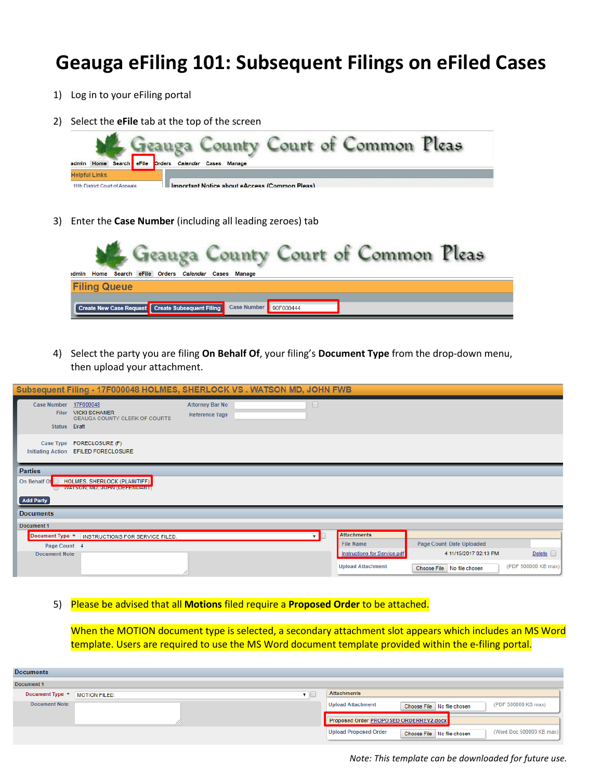## **Geauga eFiling 101: Subsequent Filings on eFiled Cases**

- 1) Log in to your eFiling portal
- 2) Select the **eFile** tab at the top of the screen



3) Enter the **Case Number** (including all leading zeroes) tab

|      |                     |  |                                                  |                    |           | County Court of Common Pleas |  |
|------|---------------------|--|--------------------------------------------------|--------------------|-----------|------------------------------|--|
| dmin | Home                |  | Search eFile Orders Calendar Cases Manage        |                    |           |                              |  |
|      | <b>Filing Queue</b> |  |                                                  |                    |           |                              |  |
|      |                     |  |                                                  |                    |           |                              |  |
|      |                     |  | Create New Case Request Create Subsequent Filing | <b>Case Number</b> | 90F000444 |                              |  |

4) Select the party you are filing **On Behalf Of**, your filing's **Document Type** from the drop-down menu, then upload your attachment.

|                                                                                                                           | Subsequent Filing - 17F000048 HOLMES, SHERLOCK VS. WATSON MD, JOHN FWB |                                                 |                  |                          |                                                                 |                                                       |                                 |  |
|---------------------------------------------------------------------------------------------------------------------------|------------------------------------------------------------------------|-------------------------------------------------|------------------|--------------------------|-----------------------------------------------------------------|-------------------------------------------------------|---------------------------------|--|
| Case Number 17F000048<br>Status Draft                                                                                     | Filer VICKI SCHANER<br><b>GEAUGA COUNTY CLERK OF COURTS</b>            | <b>Attorney Bar No</b><br><b>Reference Tags</b> |                  | $\Box$                   |                                                                 |                                                       |                                 |  |
|                                                                                                                           | Case Type FORECLOSURE (F)<br>Initiating Action EFILED FORECLOSURE      |                                                 |                  |                          |                                                                 |                                                       |                                 |  |
| <b>Parties</b><br><b>HOLMES, SHERLOCK (PLAINTIFF)</b><br>On Behalf Of<br>WATSON, MD, JOHN (DEFENDANT)<br><b>Add Party</b> |                                                                        |                                                 |                  |                          |                                                                 |                                                       |                                 |  |
| <b>Documents</b>                                                                                                          |                                                                        |                                                 |                  |                          |                                                                 |                                                       |                                 |  |
| Document 1                                                                                                                |                                                                        |                                                 |                  |                          |                                                                 |                                                       |                                 |  |
|                                                                                                                           | Document Type *   INSTRUCTIONS FOR SERVICE FILED.                      |                                                 |                  |                          | <b>Attachments</b>                                              |                                                       |                                 |  |
| Page Count 4                                                                                                              |                                                                        |                                                 | <b>File Name</b> | Page Count Date Uploaded |                                                                 |                                                       |                                 |  |
| <b>Document Note</b>                                                                                                      |                                                                        |                                                 |                  |                          | <b>Instructions for Service.pdf</b><br><b>Upload Attachment</b> | 4 11/15/2017 02:13 PM<br>Choose File   No file chosen | Delete  <br>(PDF 500000 KB max) |  |

5) Please be advised that all **Motions** filed require a **Proposed Order** to be attached.

When the MOTION document type is selected, a secondary attachment slot appears which includes an MS Word template. Users are required to use the MS Word document template provided within the e-filing portal.

| <b>Documents</b>     |                      |  |                                                                                        |  |  |  |  |  |
|----------------------|----------------------|--|----------------------------------------------------------------------------------------|--|--|--|--|--|
| Document 1           |                      |  |                                                                                        |  |  |  |  |  |
| Document Type *      | <b>MOTION FILED.</b> |  | <b>Attachments</b>                                                                     |  |  |  |  |  |
| <b>Document Note</b> |                      |  | (PDF 500000 KB max)<br><b>Upload Attachment</b><br>Choose File No file chosen          |  |  |  |  |  |
|                      |                      |  | Proposed Order PROPOSED ORDERREV2.docx                                                 |  |  |  |  |  |
|                      |                      |  | (Word Doc 500000 KB max)<br><b>Upload Proposed Order</b><br>Choose File No file chosen |  |  |  |  |  |

*Note: This template can be downloaded for future use.*